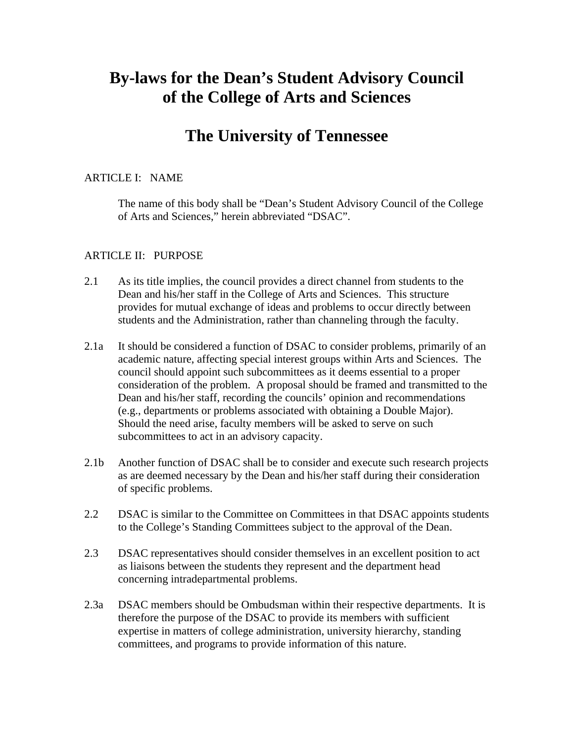# **By-laws for the Dean's Student Advisory Council of the College of Arts and Sciences**

## **The University of Tennessee**

#### ARTICLE I: NAME

The name of this body shall be "Dean's Student Advisory Council of the College of Arts and Sciences," herein abbreviated "DSAC".

#### ARTICLE II: PURPOSE

- 2.1 As its title implies, the council provides a direct channel from students to the Dean and his/her staff in the College of Arts and Sciences. This structure provides for mutual exchange of ideas and problems to occur directly between students and the Administration, rather than channeling through the faculty.
- 2.1a It should be considered a function of DSAC to consider problems, primarily of an academic nature, affecting special interest groups within Arts and Sciences. The council should appoint such subcommittees as it deems essential to a proper consideration of the problem. A proposal should be framed and transmitted to the Dean and his/her staff, recording the councils' opinion and recommendations (e.g., departments or problems associated with obtaining a Double Major). Should the need arise, faculty members will be asked to serve on such subcommittees to act in an advisory capacity.
- 2.1b Another function of DSAC shall be to consider and execute such research projects as are deemed necessary by the Dean and his/her staff during their consideration of specific problems.
- 2.2 DSAC is similar to the Committee on Committees in that DSAC appoints students to the College's Standing Committees subject to the approval of the Dean.
- 2.3 DSAC representatives should consider themselves in an excellent position to act as liaisons between the students they represent and the department head concerning intradepartmental problems.
- 2.3a DSAC members should be Ombudsman within their respective departments. It is therefore the purpose of the DSAC to provide its members with sufficient expertise in matters of college administration, university hierarchy, standing committees, and programs to provide information of this nature.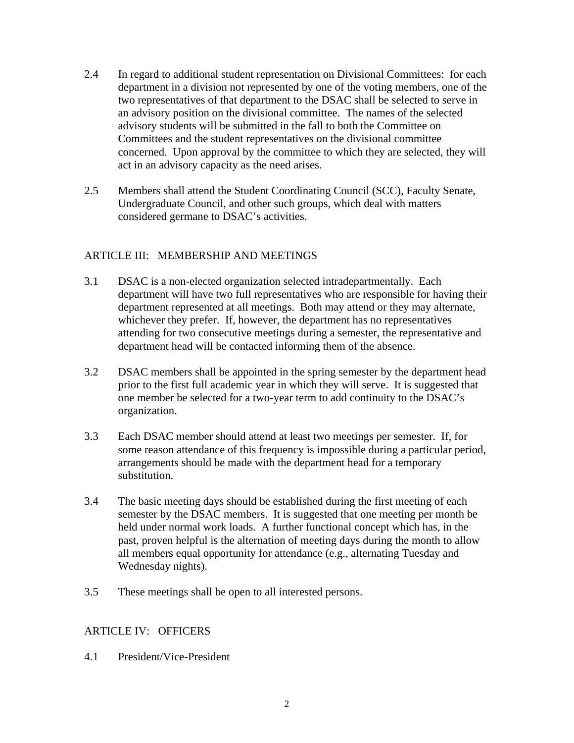- 2.4 In regard to additional student representation on Divisional Committees: for each department in a division not represented by one of the voting members, one of the two representatives of that department to the DSAC shall be selected to serve in an advisory position on the divisional committee. The names of the selected advisory students will be submitted in the fall to both the Committee on Committees and the student representatives on the divisional committee concerned. Upon approval by the committee to which they are selected, they will act in an advisory capacity as the need arises.
- 2.5 Members shall attend the Student Coordinating Council (SCC), Faculty Senate, Undergraduate Council, and other such groups, which deal with matters considered germane to DSAC's activities.

#### ARTICLE III: MEMBERSHIP AND MEETINGS

- 3.1 DSAC is a non-elected organization selected intradepartmentally. Each department will have two full representatives who are responsible for having their department represented at all meetings. Both may attend or they may alternate, whichever they prefer. If, however, the department has no representatives attending for two consecutive meetings during a semester, the representative and department head will be contacted informing them of the absence.
- 3.2 DSAC members shall be appointed in the spring semester by the department head prior to the first full academic year in which they will serve. It is suggested that one member be selected for a two-year term to add continuity to the DSAC's organization.
- 3.3 Each DSAC member should attend at least two meetings per semester. If, for some reason attendance of this frequency is impossible during a particular period, arrangements should be made with the department head for a temporary substitution.
- 3.4 The basic meeting days should be established during the first meeting of each semester by the DSAC members. It is suggested that one meeting per month be held under normal work loads. A further functional concept which has, in the past, proven helpful is the alternation of meeting days during the month to allow all members equal opportunity for attendance (e.g., alternating Tuesday and Wednesday nights).
- 3.5 These meetings shall be open to all interested persons.

### ARTICLE IV: OFFICERS

4.1 President/Vice-President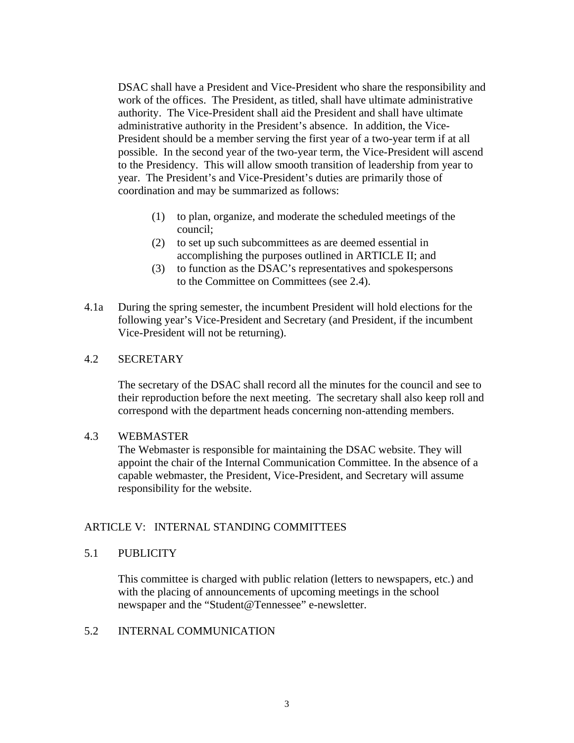DSAC shall have a President and Vice-President who share the responsibility and work of the offices. The President, as titled, shall have ultimate administrative authority. The Vice-President shall aid the President and shall have ultimate administrative authority in the President's absence. In addition, the Vice-President should be a member serving the first year of a two-year term if at all possible. In the second year of the two-year term, the Vice-President will ascend to the Presidency. This will allow smooth transition of leadership from year to year. The President's and Vice-President's duties are primarily those of coordination and may be summarized as follows:

- (1) to plan, organize, and moderate the scheduled meetings of the council;
- (2) to set up such subcommittees as are deemed essential in accomplishing the purposes outlined in ARTICLE II; and
- (3) to function as the DSAC's representatives and spokespersons to the Committee on Committees (see 2.4).
- 4.1a During the spring semester, the incumbent President will hold elections for the following year's Vice-President and Secretary (and President, if the incumbent Vice-President will not be returning).

#### 4.2 SECRETARY

The secretary of the DSAC shall record all the minutes for the council and see to their reproduction before the next meeting. The secretary shall also keep roll and correspond with the department heads concerning non-attending members.

#### 4.3 WEBMASTER

The Webmaster is responsible for maintaining the DSAC website. They will appoint the chair of the Internal Communication Committee. In the absence of a capable webmaster, the President, Vice-President, and Secretary will assume responsibility for the website.

#### ARTICLE V: INTERNAL STANDING COMMITTEES

#### 5.1 PUBLICITY

This committee is charged with public relation (letters to newspapers, etc.) and with the placing of announcements of upcoming meetings in the school newspaper and the "Student@Tennessee" e-newsletter.

#### 5.2 INTERNAL COMMUNICATION